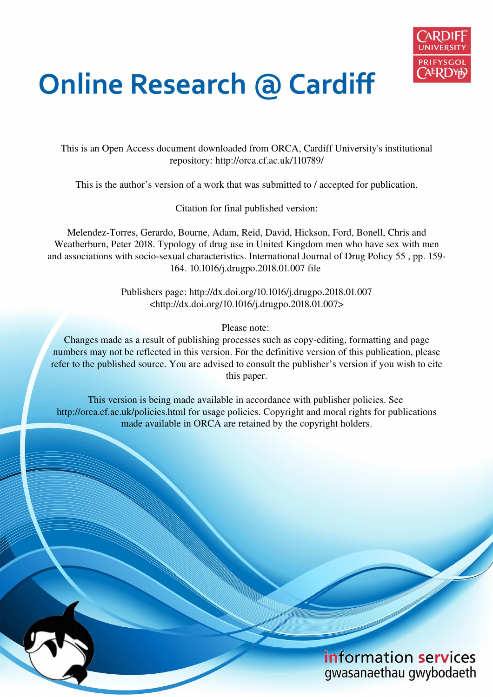

# **Online Research @ Cardiff**

This is an Open Access document downloaded from ORCA, Cardiff University's institutional repository: http://orca.cf.ac.uk/110789/

This is the author's version of a work that was submitted to / accepted for publication.

Citation for final published version:

Melendez-Torres, Gerardo, Bourne, Adam, Reid, David, Hickson, Ford, Bonell, Chris and Weatherburn, Peter 2018. Typology of drug use in United Kingdom men who have sex with men and associations with socio-sexual characteristics. International Journal of Drug Policy 55 , pp. 159- 164. 10.1016/j.drugpo.2018.01.007 file

> Publishers page: http://dx.doi.org/10.1016/j.drugpo.2018.01.007 <http://dx.doi.org/10.1016/j.drugpo.2018.01.007>

> > Please note:

Changes made as a result of publishing processes such as copy-editing, formatting and page numbers may not be reflected in this version. For the definitive version of this publication, please refer to the published source. You are advised to consult the publisher's version if you wish to cite this paper.

This version is being made available in accordance with publisher policies. See http://orca.cf.ac.uk/policies.html for usage policies. Copyright and moral rights for publications made available in ORCA are retained by the copyright holders.

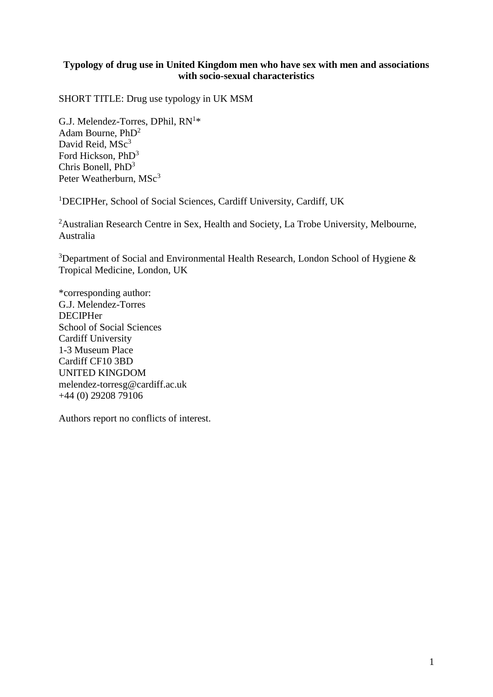# **Typology of drug use in United Kingdom men who have sex with men and associations with socio-sexual characteristics**

SHORT TITLE: Drug use typology in UK MSM

G.J. Melendez-Torres, DPhil,  $RN^{1*}$ Adam Bourne, PhD<sup>2</sup> David Reid, MSc<sup>3</sup> Ford Hickson, PhD<sup>3</sup> Chris Bonell,  $PhD<sup>3</sup>$ Peter Weatherburn, MSc<sup>3</sup>

<sup>1</sup>DECIPHer, School of Social Sciences, Cardiff University, Cardiff, UK

<sup>2</sup>Australian Research Centre in Sex, Health and Society, La Trobe University, Melbourne, Australia

<sup>3</sup>Department of Social and Environmental Health Research, London School of Hygiene  $\&$ Tropical Medicine, London, UK

\*corresponding author: G.J. Melendez-Torres DECIPHer School of Social Sciences Cardiff University 1-3 Museum Place Cardiff CF10 3BD UNITED KINGDOM melendez-torresg@cardiff.ac.uk +44 (0) 29208 79106

Authors report no conflicts of interest.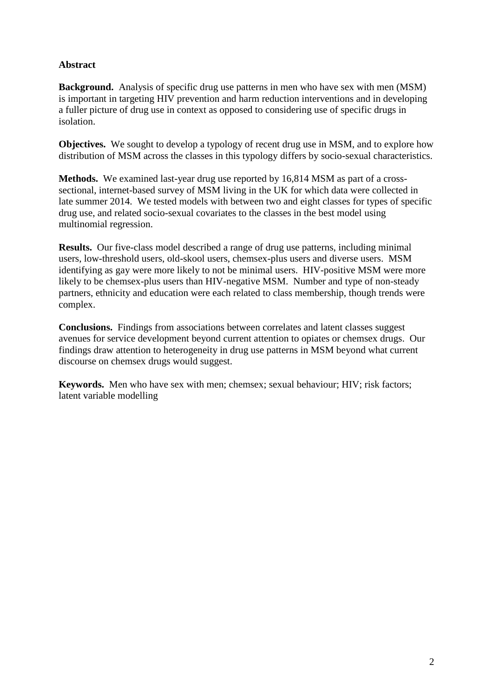# **Abstract**

**Background.** Analysis of specific drug use patterns in men who have sex with men (MSM) is important in targeting HIV prevention and harm reduction interventions and in developing a fuller picture of drug use in context as opposed to considering use of specific drugs in isolation.

**Objectives.** We sought to develop a typology of recent drug use in MSM, and to explore how distribution of MSM across the classes in this typology differs by socio-sexual characteristics.

**Methods.** We examined last-year drug use reported by 16,814 MSM as part of a crosssectional, internet-based survey of MSM living in the UK for which data were collected in late summer 2014. We tested models with between two and eight classes for types of specific drug use, and related socio-sexual covariates to the classes in the best model using multinomial regression.

**Results.** Our five-class model described a range of drug use patterns, including minimal users, low-threshold users, old-skool users, chemsex-plus users and diverse users. MSM identifying as gay were more likely to not be minimal users. HIV-positive MSM were more likely to be chemsex-plus users than HIV-negative MSM. Number and type of non-steady partners, ethnicity and education were each related to class membership, though trends were complex.

**Conclusions.** Findings from associations between correlates and latent classes suggest avenues for service development beyond current attention to opiates or chemsex drugs. Our findings draw attention to heterogeneity in drug use patterns in MSM beyond what current discourse on chemsex drugs would suggest.

**Keywords.** Men who have sex with men; chemsex; sexual behaviour; HIV; risk factors; latent variable modelling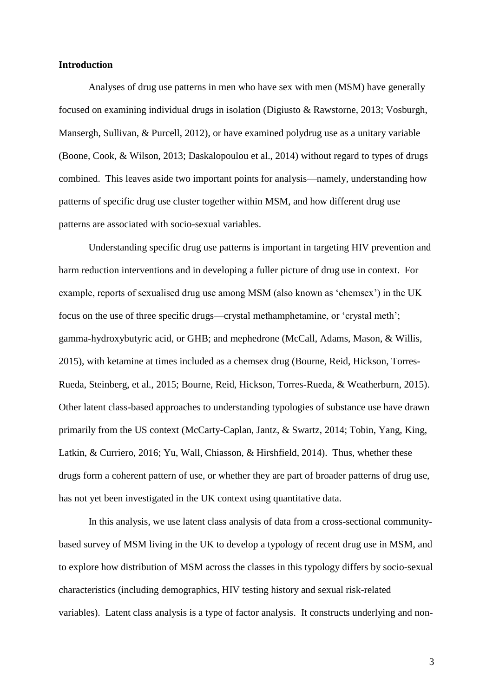#### **Introduction**

 Analyses of drug use patterns in men who have sex with men (MSM) have generally focused on examining individual drugs in isolation (Digiusto & Rawstorne, 2013; Vosburgh, Mansergh, Sullivan, & Purcell, 2012), or have examined polydrug use as a unitary variable (Boone, Cook, & Wilson, 2013; Daskalopoulou et al., 2014) without regard to types of drugs combined. This leaves aside two important points for analysis—namely, understanding how patterns of specific drug use cluster together within MSM, and how different drug use patterns are associated with socio-sexual variables.

 Understanding specific drug use patterns is important in targeting HIV prevention and harm reduction interventions and in developing a fuller picture of drug use in context. For example, reports of sexualised drug use among MSM (also known as 'chemsex') in the UK focus on the use of three specific drugs—crystal methamphetamine, or 'crystal meth'; gamma-hydroxybutyric acid, or GHB; and mephedrone (McCall, Adams, Mason, & Willis, 2015), with ketamine at times included as a chemsex drug (Bourne, Reid, Hickson, Torres-Rueda, Steinberg, et al., 2015; Bourne, Reid, Hickson, Torres-Rueda, & Weatherburn, 2015). Other latent class-based approaches to understanding typologies of substance use have drawn primarily from the US context (McCarty-Caplan, Jantz, & Swartz, 2014; Tobin, Yang, King, Latkin, & Curriero, 2016; Yu, Wall, Chiasson, & Hirshfield, 2014). Thus, whether these drugs form a coherent pattern of use, or whether they are part of broader patterns of drug use, has not yet been investigated in the UK context using quantitative data.

 In this analysis, we use latent class analysis of data from a cross-sectional communitybased survey of MSM living in the UK to develop a typology of recent drug use in MSM, and to explore how distribution of MSM across the classes in this typology differs by socio-sexual characteristics (including demographics, HIV testing history and sexual risk-related variables). Latent class analysis is a type of factor analysis. It constructs underlying and non-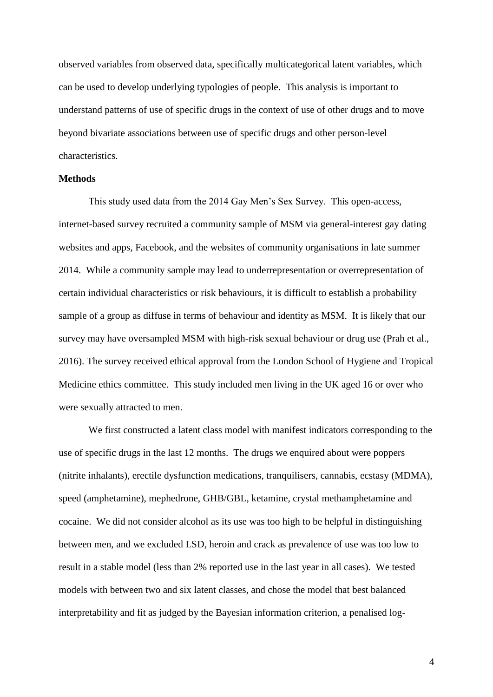observed variables from observed data, specifically multicategorical latent variables, which can be used to develop underlying typologies of people. This analysis is important to understand patterns of use of specific drugs in the context of use of other drugs and to move beyond bivariate associations between use of specific drugs and other person-level characteristics.

## **Methods**

This study used data from the 2014 Gay Men's Sex Survey. This open-access, internet-based survey recruited a community sample of MSM via general-interest gay dating websites and apps, Facebook, and the websites of community organisations in late summer 2014. While a community sample may lead to underrepresentation or overrepresentation of certain individual characteristics or risk behaviours, it is difficult to establish a probability sample of a group as diffuse in terms of behaviour and identity as MSM. It is likely that our survey may have oversampled MSM with high-risk sexual behaviour or drug use (Prah et al., 2016). The survey received ethical approval from the London School of Hygiene and Tropical Medicine ethics committee. This study included men living in the UK aged 16 or over who were sexually attracted to men.

 We first constructed a latent class model with manifest indicators corresponding to the use of specific drugs in the last 12 months. The drugs we enquired about were poppers (nitrite inhalants), erectile dysfunction medications, tranquilisers, cannabis, ecstasy (MDMA), speed (amphetamine), mephedrone, GHB/GBL, ketamine, crystal methamphetamine and cocaine. We did not consider alcohol as its use was too high to be helpful in distinguishing between men, and we excluded LSD, heroin and crack as prevalence of use was too low to result in a stable model (less than 2% reported use in the last year in all cases). We tested models with between two and six latent classes, and chose the model that best balanced interpretability and fit as judged by the Bayesian information criterion, a penalised log-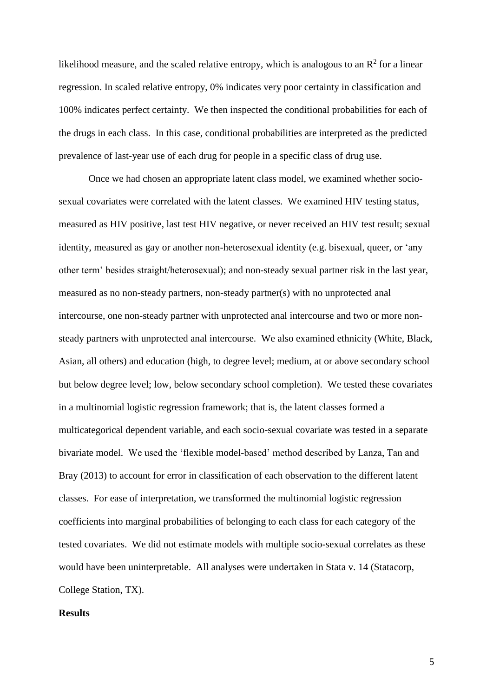likelihood measure, and the scaled relative entropy, which is analogous to an  $\mathbb{R}^2$  for a linear regression. In scaled relative entropy, 0% indicates very poor certainty in classification and 100% indicates perfect certainty. We then inspected the conditional probabilities for each of the drugs in each class. In this case, conditional probabilities are interpreted as the predicted prevalence of last-year use of each drug for people in a specific class of drug use.

 Once we had chosen an appropriate latent class model, we examined whether sociosexual covariates were correlated with the latent classes. We examined HIV testing status, measured as HIV positive, last test HIV negative, or never received an HIV test result; sexual identity, measured as gay or another non-heterosexual identity (e.g. bisexual, queer, or 'any other term' besides straight/heterosexual); and non-steady sexual partner risk in the last year, measured as no non-steady partners, non-steady partner(s) with no unprotected anal intercourse, one non-steady partner with unprotected anal intercourse and two or more nonsteady partners with unprotected anal intercourse. We also examined ethnicity (White, Black, Asian, all others) and education (high, to degree level; medium, at or above secondary school but below degree level; low, below secondary school completion). We tested these covariates in a multinomial logistic regression framework; that is, the latent classes formed a multicategorical dependent variable, and each socio-sexual covariate was tested in a separate bivariate model. We used the 'flexible model-based' method described by Lanza, Tan and Bray (2013) to account for error in classification of each observation to the different latent classes. For ease of interpretation, we transformed the multinomial logistic regression coefficients into marginal probabilities of belonging to each class for each category of the tested covariates. We did not estimate models with multiple socio-sexual correlates as these would have been uninterpretable. All analyses were undertaken in Stata v. 14 (Statacorp, College Station, TX).

## **Results**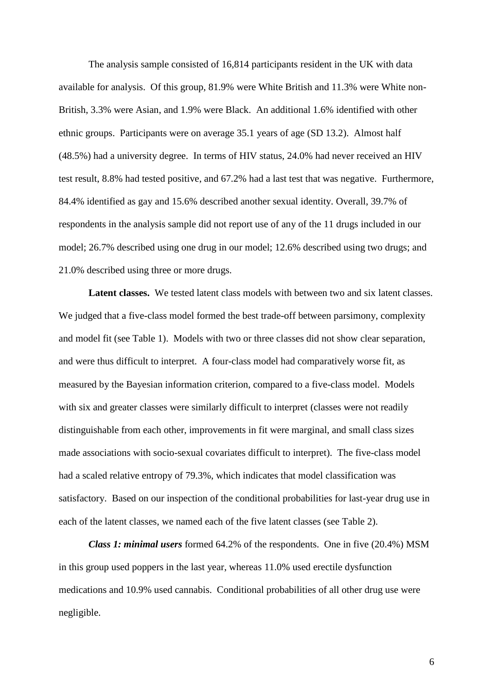The analysis sample consisted of 16,814 participants resident in the UK with data available for analysis. Of this group, 81.9% were White British and 11.3% were White non-British, 3.3% were Asian, and 1.9% were Black. An additional 1.6% identified with other ethnic groups. Participants were on average 35.1 years of age (SD 13.2). Almost half (48.5%) had a university degree. In terms of HIV status, 24.0% had never received an HIV test result, 8.8% had tested positive, and 67.2% had a last test that was negative. Furthermore, 84.4% identified as gay and 15.6% described another sexual identity. Overall, 39.7% of respondents in the analysis sample did not report use of any of the 11 drugs included in our model; 26.7% described using one drug in our model; 12.6% described using two drugs; and 21.0% described using three or more drugs.

**Latent classes.** We tested latent class models with between two and six latent classes. We judged that a five-class model formed the best trade-off between parsimony, complexity and model fit (see Table 1). Models with two or three classes did not show clear separation, and were thus difficult to interpret. A four-class model had comparatively worse fit, as measured by the Bayesian information criterion, compared to a five-class model. Models with six and greater classes were similarly difficult to interpret (classes were not readily distinguishable from each other, improvements in fit were marginal, and small class sizes made associations with socio-sexual covariates difficult to interpret). The five-class model had a scaled relative entropy of 79.3%, which indicates that model classification was satisfactory. Based on our inspection of the conditional probabilities for last-year drug use in each of the latent classes, we named each of the five latent classes (see Table 2).

*Class 1: minimal users* formed 64.2% of the respondents. One in five (20.4%) MSM in this group used poppers in the last year, whereas 11.0% used erectile dysfunction medications and 10.9% used cannabis. Conditional probabilities of all other drug use were negligible.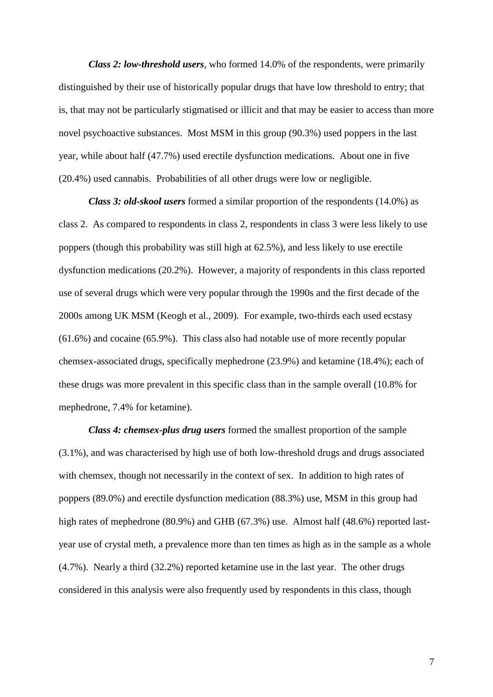*Class 2: low-threshold users*, who formed 14.0% of the respondents, were primarily distinguished by their use of historically popular drugs that have low threshold to entry; that is, that may not be particularly stigmatised or illicit and that may be easier to access than more novel psychoactive substances. Most MSM in this group (90.3%) used poppers in the last year, while about half (47.7%) used erectile dysfunction medications. About one in five (20.4%) used cannabis. Probabilities of all other drugs were low or negligible.

*Class 3: old-skool users* formed a similar proportion of the respondents (14.0%) as class 2. As compared to respondents in class 2, respondents in class 3 were less likely to use poppers (though this probability was still high at 62.5%), and less likely to use erectile dysfunction medications (20.2%). However, a majority of respondents in this class reported use of several drugs which were very popular through the 1990s and the first decade of the 2000s among UK MSM (Keogh et al., 2009). For example, two-thirds each used ecstasy (61.6%) and cocaine (65.9%). This class also had notable use of more recently popular chemsex-associated drugs, specifically mephedrone (23.9%) and ketamine (18.4%); each of these drugs was more prevalent in this specific class than in the sample overall (10.8% for mephedrone, 7.4% for ketamine).

*Class 4: chemsex-plus drug users* formed the smallest proportion of the sample (3.1%), and was characterised by high use of both low-threshold drugs and drugs associated with chemsex, though not necessarily in the context of sex. In addition to high rates of poppers (89.0%) and erectile dysfunction medication (88.3%) use, MSM in this group had high rates of mephedrone (80.9%) and GHB (67.3%) use. Almost half (48.6%) reported lastyear use of crystal meth, a prevalence more than ten times as high as in the sample as a whole (4.7%). Nearly a third (32.2%) reported ketamine use in the last year. The other drugs considered in this analysis were also frequently used by respondents in this class, though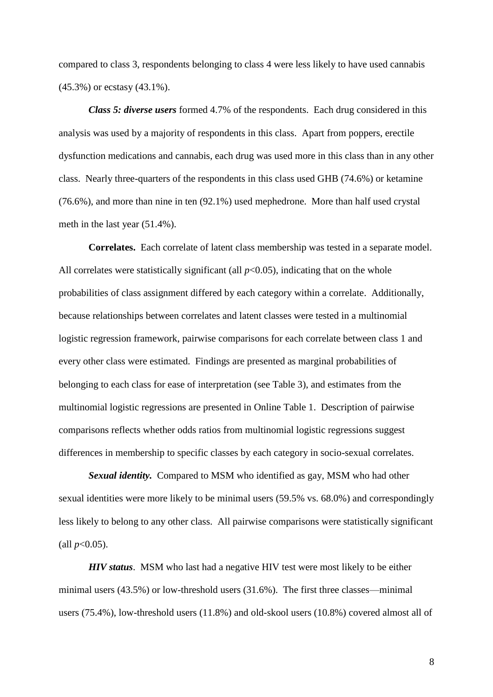compared to class 3, respondents belonging to class 4 were less likely to have used cannabis (45.3%) or ecstasy (43.1%).

*Class 5: diverse users* formed 4.7% of the respondents. Each drug considered in this analysis was used by a majority of respondents in this class. Apart from poppers, erectile dysfunction medications and cannabis, each drug was used more in this class than in any other class. Nearly three-quarters of the respondents in this class used GHB (74.6%) or ketamine (76.6%), and more than nine in ten (92.1%) used mephedrone. More than half used crystal meth in the last year (51.4%).

**Correlates.** Each correlate of latent class membership was tested in a separate model. All correlates were statistically significant (all  $p<0.05$ ), indicating that on the whole probabilities of class assignment differed by each category within a correlate. Additionally, because relationships between correlates and latent classes were tested in a multinomial logistic regression framework, pairwise comparisons for each correlate between class 1 and every other class were estimated. Findings are presented as marginal probabilities of belonging to each class for ease of interpretation (see Table 3), and estimates from the multinomial logistic regressions are presented in Online Table 1. Description of pairwise comparisons reflects whether odds ratios from multinomial logistic regressions suggest differences in membership to specific classes by each category in socio-sexual correlates.

*Sexual identity.* Compared to MSM who identified as gay, MSM who had other sexual identities were more likely to be minimal users (59.5% vs. 68.0%) and correspondingly less likely to belong to any other class. All pairwise comparisons were statistically significant (all  $p<0.05$ ).

*HIV status*. MSM who last had a negative HIV test were most likely to be either minimal users (43.5%) or low-threshold users (31.6%). The first three classes—minimal users (75.4%), low-threshold users (11.8%) and old-skool users (10.8%) covered almost all of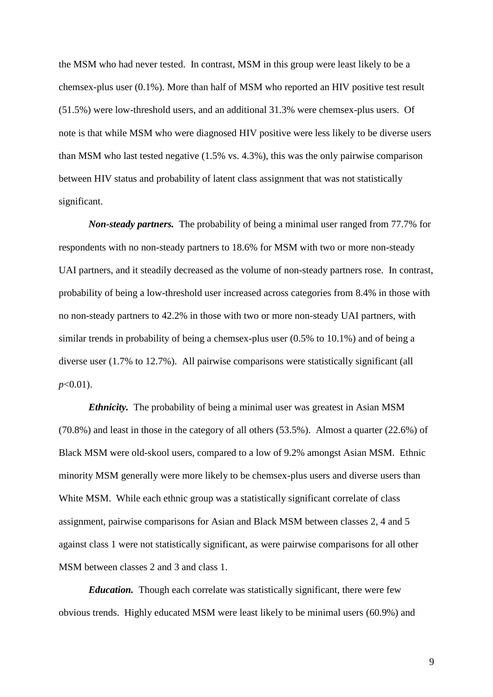the MSM who had never tested. In contrast, MSM in this group were least likely to be a chemsex-plus user (0.1%). More than half of MSM who reported an HIV positive test result (51.5%) were low-threshold users, and an additional 31.3% were chemsex-plus users. Of note is that while MSM who were diagnosed HIV positive were less likely to be diverse users than MSM who last tested negative (1.5% vs. 4.3%), this was the only pairwise comparison between HIV status and probability of latent class assignment that was not statistically significant.

*Non-steady partners.* The probability of being a minimal user ranged from 77.7% for respondents with no non-steady partners to 18.6% for MSM with two or more non-steady UAI partners, and it steadily decreased as the volume of non-steady partners rose. In contrast, probability of being a low-threshold user increased across categories from 8.4% in those with no non-steady partners to 42.2% in those with two or more non-steady UAI partners, with similar trends in probability of being a chemsex-plus user (0.5% to 10.1%) and of being a diverse user (1.7% to 12.7%). All pairwise comparisons were statistically significant (all *p*<0.01).

*Ethnicity.* The probability of being a minimal user was greatest in Asian MSM (70.8%) and least in those in the category of all others (53.5%). Almost a quarter (22.6%) of Black MSM were old-skool users, compared to a low of 9.2% amongst Asian MSM. Ethnic minority MSM generally were more likely to be chemsex-plus users and diverse users than White MSM. While each ethnic group was a statistically significant correlate of class assignment, pairwise comparisons for Asian and Black MSM between classes 2, 4 and 5 against class 1 were not statistically significant, as were pairwise comparisons for all other MSM between classes 2 and 3 and class 1.

*Education.* Though each correlate was statistically significant, there were few obvious trends. Highly educated MSM were least likely to be minimal users (60.9%) and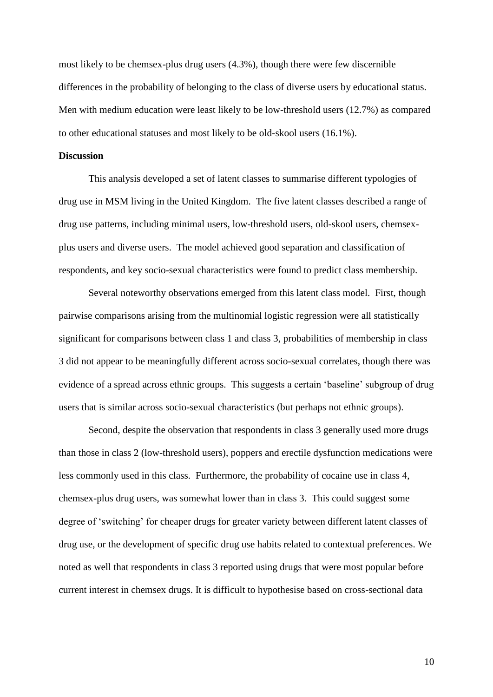most likely to be chemsex-plus drug users (4.3%), though there were few discernible differences in the probability of belonging to the class of diverse users by educational status. Men with medium education were least likely to be low-threshold users (12.7%) as compared to other educational statuses and most likely to be old-skool users (16.1%).

#### **Discussion**

 This analysis developed a set of latent classes to summarise different typologies of drug use in MSM living in the United Kingdom. The five latent classes described a range of drug use patterns, including minimal users, low-threshold users, old-skool users, chemsexplus users and diverse users. The model achieved good separation and classification of respondents, and key socio-sexual characteristics were found to predict class membership.

 Several noteworthy observations emerged from this latent class model. First, though pairwise comparisons arising from the multinomial logistic regression were all statistically significant for comparisons between class 1 and class 3, probabilities of membership in class 3 did not appear to be meaningfully different across socio-sexual correlates, though there was evidence of a spread across ethnic groups. This suggests a certain 'baseline' subgroup of drug users that is similar across socio-sexual characteristics (but perhaps not ethnic groups).

Second, despite the observation that respondents in class 3 generally used more drugs than those in class 2 (low-threshold users), poppers and erectile dysfunction medications were less commonly used in this class. Furthermore, the probability of cocaine use in class 4, chemsex-plus drug users, was somewhat lower than in class 3. This could suggest some degree of 'switching' for cheaper drugs for greater variety between different latent classes of drug use, or the development of specific drug use habits related to contextual preferences. We noted as well that respondents in class 3 reported using drugs that were most popular before current interest in chemsex drugs. It is difficult to hypothesise based on cross-sectional data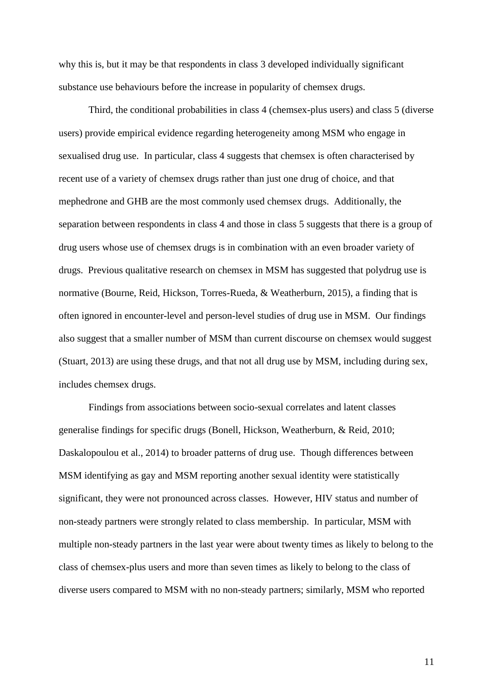why this is, but it may be that respondents in class 3 developed individually significant substance use behaviours before the increase in popularity of chemsex drugs.

Third, the conditional probabilities in class 4 (chemsex-plus users) and class 5 (diverse users) provide empirical evidence regarding heterogeneity among MSM who engage in sexualised drug use. In particular, class 4 suggests that chemsex is often characterised by recent use of a variety of chemsex drugs rather than just one drug of choice, and that mephedrone and GHB are the most commonly used chemsex drugs. Additionally, the separation between respondents in class 4 and those in class 5 suggests that there is a group of drug users whose use of chemsex drugs is in combination with an even broader variety of drugs. Previous qualitative research on chemsex in MSM has suggested that polydrug use is normative (Bourne, Reid, Hickson, Torres-Rueda, & Weatherburn, 2015), a finding that is often ignored in encounter-level and person-level studies of drug use in MSM. Our findings also suggest that a smaller number of MSM than current discourse on chemsex would suggest (Stuart, 2013) are using these drugs, and that not all drug use by MSM, including during sex, includes chemsex drugs.

Findings from associations between socio-sexual correlates and latent classes generalise findings for specific drugs (Bonell, Hickson, Weatherburn, & Reid, 2010; Daskalopoulou et al., 2014) to broader patterns of drug use. Though differences between MSM identifying as gay and MSM reporting another sexual identity were statistically significant, they were not pronounced across classes. However, HIV status and number of non-steady partners were strongly related to class membership. In particular, MSM with multiple non-steady partners in the last year were about twenty times as likely to belong to the class of chemsex-plus users and more than seven times as likely to belong to the class of diverse users compared to MSM with no non-steady partners; similarly, MSM who reported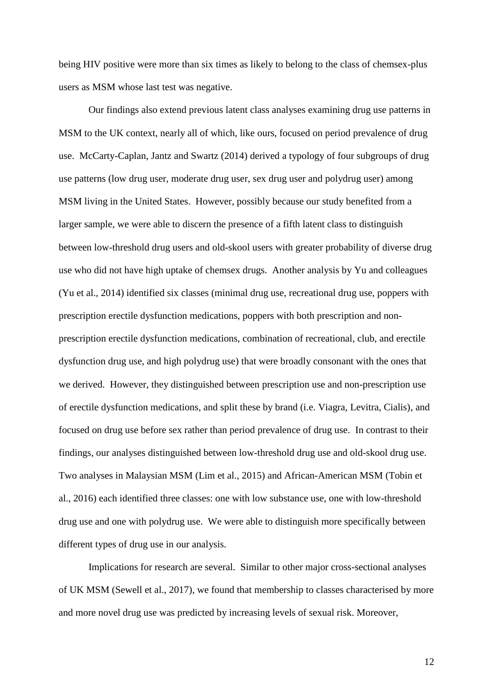being HIV positive were more than six times as likely to belong to the class of chemsex-plus users as MSM whose last test was negative.

Our findings also extend previous latent class analyses examining drug use patterns in MSM to the UK context, nearly all of which, like ours, focused on period prevalence of drug use. McCarty-Caplan, Jantz and Swartz (2014) derived a typology of four subgroups of drug use patterns (low drug user, moderate drug user, sex drug user and polydrug user) among MSM living in the United States. However, possibly because our study benefited from a larger sample, we were able to discern the presence of a fifth latent class to distinguish between low-threshold drug users and old-skool users with greater probability of diverse drug use who did not have high uptake of chemsex drugs. Another analysis by Yu and colleagues (Yu et al., 2014) identified six classes (minimal drug use, recreational drug use, poppers with prescription erectile dysfunction medications, poppers with both prescription and nonprescription erectile dysfunction medications, combination of recreational, club, and erectile dysfunction drug use, and high polydrug use) that were broadly consonant with the ones that we derived. However, they distinguished between prescription use and non-prescription use of erectile dysfunction medications, and split these by brand (i.e. Viagra, Levitra, Cialis), and focused on drug use before sex rather than period prevalence of drug use. In contrast to their findings, our analyses distinguished between low-threshold drug use and old-skool drug use. Two analyses in Malaysian MSM (Lim et al., 2015) and African-American MSM (Tobin et al., 2016) each identified three classes: one with low substance use, one with low-threshold drug use and one with polydrug use. We were able to distinguish more specifically between different types of drug use in our analysis.

Implications for research are several. Similar to other major cross-sectional analyses of UK MSM (Sewell et al., 2017), we found that membership to classes characterised by more and more novel drug use was predicted by increasing levels of sexual risk. Moreover,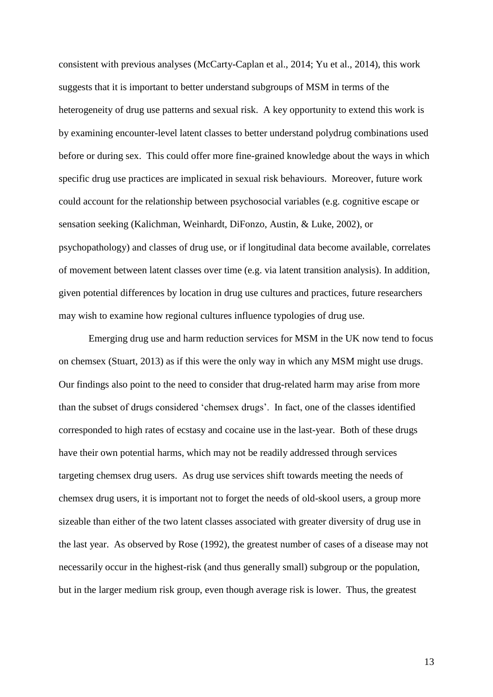consistent with previous analyses (McCarty-Caplan et al., 2014; Yu et al., 2014), this work suggests that it is important to better understand subgroups of MSM in terms of the heterogeneity of drug use patterns and sexual risk. A key opportunity to extend this work is by examining encounter-level latent classes to better understand polydrug combinations used before or during sex. This could offer more fine-grained knowledge about the ways in which specific drug use practices are implicated in sexual risk behaviours. Moreover, future work could account for the relationship between psychosocial variables (e.g. cognitive escape or sensation seeking (Kalichman, Weinhardt, DiFonzo, Austin, & Luke, 2002), or psychopathology) and classes of drug use, or if longitudinal data become available, correlates of movement between latent classes over time (e.g. via latent transition analysis). In addition, given potential differences by location in drug use cultures and practices, future researchers may wish to examine how regional cultures influence typologies of drug use.

Emerging drug use and harm reduction services for MSM in the UK now tend to focus on chemsex (Stuart, 2013) as if this were the only way in which any MSM might use drugs. Our findings also point to the need to consider that drug-related harm may arise from more than the subset of drugs considered 'chemsex drugs'. In fact, one of the classes identified corresponded to high rates of ecstasy and cocaine use in the last-year. Both of these drugs have their own potential harms, which may not be readily addressed through services targeting chemsex drug users. As drug use services shift towards meeting the needs of chemsex drug users, it is important not to forget the needs of old-skool users, a group more sizeable than either of the two latent classes associated with greater diversity of drug use in the last year. As observed by Rose (1992), the greatest number of cases of a disease may not necessarily occur in the highest-risk (and thus generally small) subgroup or the population, but in the larger medium risk group, even though average risk is lower. Thus, the greatest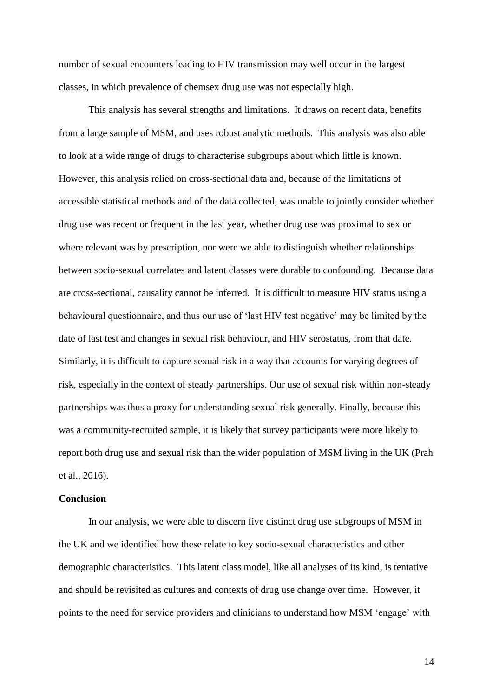number of sexual encounters leading to HIV transmission may well occur in the largest classes, in which prevalence of chemsex drug use was not especially high.

This analysis has several strengths and limitations. It draws on recent data, benefits from a large sample of MSM, and uses robust analytic methods. This analysis was also able to look at a wide range of drugs to characterise subgroups about which little is known. However, this analysis relied on cross-sectional data and, because of the limitations of accessible statistical methods and of the data collected, was unable to jointly consider whether drug use was recent or frequent in the last year, whether drug use was proximal to sex or where relevant was by prescription, nor were we able to distinguish whether relationships between socio-sexual correlates and latent classes were durable to confounding. Because data are cross-sectional, causality cannot be inferred. It is difficult to measure HIV status using a behavioural questionnaire, and thus our use of 'last HIV test negative' may be limited by the date of last test and changes in sexual risk behaviour, and HIV serostatus, from that date. Similarly, it is difficult to capture sexual risk in a way that accounts for varying degrees of risk, especially in the context of steady partnerships. Our use of sexual risk within non-steady partnerships was thus a proxy for understanding sexual risk generally. Finally, because this was a community-recruited sample, it is likely that survey participants were more likely to report both drug use and sexual risk than the wider population of MSM living in the UK (Prah et al., 2016).

#### **Conclusion**

In our analysis, we were able to discern five distinct drug use subgroups of MSM in the UK and we identified how these relate to key socio-sexual characteristics and other demographic characteristics. This latent class model, like all analyses of its kind, is tentative and should be revisited as cultures and contexts of drug use change over time. However, it points to the need for service providers and clinicians to understand how MSM 'engage' with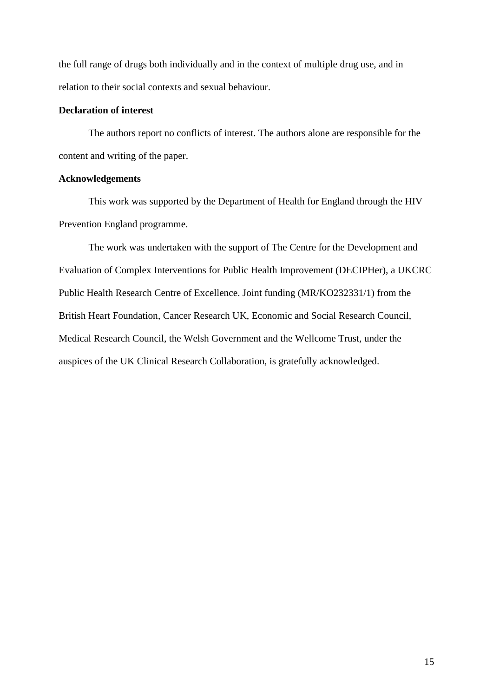the full range of drugs both individually and in the context of multiple drug use, and in relation to their social contexts and sexual behaviour.

## **Declaration of interest**

The authors report no conflicts of interest. The authors alone are responsible for the content and writing of the paper.

# **Acknowledgements**

 This work was supported by the Department of Health for England through the HIV Prevention England programme.

 The work was undertaken with the support of The Centre for the Development and Evaluation of Complex Interventions for Public Health Improvement (DECIPHer), a UKCRC Public Health Research Centre of Excellence. Joint funding (MR/KO232331/1) from the British Heart Foundation, Cancer Research UK, Economic and Social Research Council, Medical Research Council, the Welsh Government and the Wellcome Trust, under the auspices of the UK Clinical Research Collaboration, is gratefully acknowledged.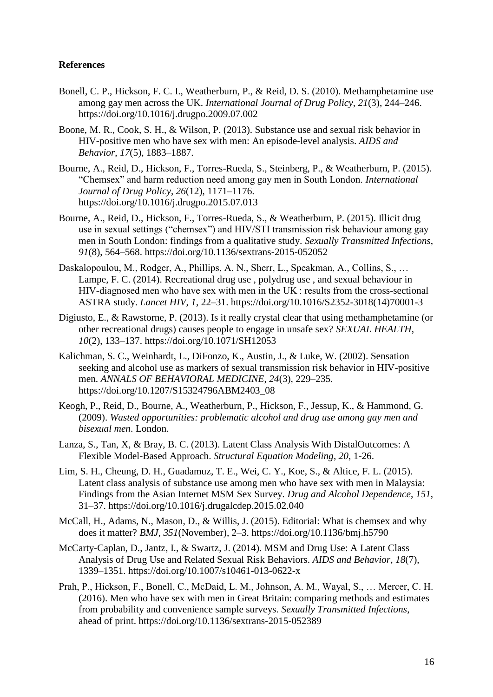# **References**

- Bonell, C. P., Hickson, F. C. I., Weatherburn, P., & Reid, D. S. (2010). Methamphetamine use among gay men across the UK. *International Journal of Drug Policy*, *21*(3), 244–246. https://doi.org/10.1016/j.drugpo.2009.07.002
- Boone, M. R., Cook, S. H., & Wilson, P. (2013). Substance use and sexual risk behavior in HIV-positive men who have sex with men: An episode-level analysis. *AIDS and Behavior*, *17*(5), 1883–1887.
- Bourne, A., Reid, D., Hickson, F., Torres-Rueda, S., Steinberg, P., & Weatherburn, P. (2015). "Chemsex" and harm reduction need among gay men in South London. *International Journal of Drug Policy*, *26*(12), 1171–1176. https://doi.org/10.1016/j.drugpo.2015.07.013
- Bourne, A., Reid, D., Hickson, F., Torres-Rueda, S., & Weatherburn, P. (2015). Illicit drug use in sexual settings ("chemsex") and HIV/STI transmission risk behaviour among gay men in South London: findings from a qualitative study. *Sexually Transmitted Infections*, *91*(8), 564–568. https://doi.org/10.1136/sextrans-2015-052052
- Daskalopoulou, M., Rodger, A., Phillips, A. N., Sherr, L., Speakman, A., Collins, S., … Lampe, F. C. (2014). Recreational drug use , polydrug use , and sexual behaviour in HIV-diagnosed men who have sex with men in the UK : results from the cross-sectional ASTRA study. *Lancet HIV*, *1*, 22–31. https://doi.org/10.1016/S2352-3018(14)70001-3
- Digiusto, E., & Rawstorne, P. (2013). Is it really crystal clear that using methamphetamine (or other recreational drugs) causes people to engage in unsafe sex? *SEXUAL HEALTH*, *10*(2), 133–137. https://doi.org/10.1071/SH12053
- Kalichman, S. C., Weinhardt, L., DiFonzo, K., Austin, J., & Luke, W. (2002). Sensation seeking and alcohol use as markers of sexual transmission risk behavior in HIV-positive men. *ANNALS OF BEHAVIORAL MEDICINE*, *24*(3), 229–235. https://doi.org/10.1207/S15324796ABM2403\_08
- Keogh, P., Reid, D., Bourne, A., Weatherburn, P., Hickson, F., Jessup, K., & Hammond, G. (2009). *Wasted opportunities: problematic alcohol and drug use among gay men and bisexual men*. London.
- Lanza, S., Tan, X, & Bray, B. C. (2013). Latent Class Analysis With DistalOutcomes: A Flexible Model-Based Approach. *Structural Equation Modeling*, *20*, 1-26.
- Lim, S. H., Cheung, D. H., Guadamuz, T. E., Wei, C. Y., Koe, S., & Altice, F. L. (2015). Latent class analysis of substance use among men who have sex with men in Malaysia: Findings from the Asian Internet MSM Sex Survey. *Drug and Alcohol Dependence*, *151*, 31–37. https://doi.org/10.1016/j.drugalcdep.2015.02.040
- McCall, H., Adams, N., Mason, D., & Willis, J. (2015). Editorial: What is chemsex and why does it matter? *BMJ*, *351*(November), 2–3. https://doi.org/10.1136/bmj.h5790
- McCarty-Caplan, D., Jantz, I., & Swartz, J. (2014). MSM and Drug Use: A Latent Class Analysis of Drug Use and Related Sexual Risk Behaviors. *AIDS and Behavior*, *18*(7), 1339–1351. https://doi.org/10.1007/s10461-013-0622-x
- Prah, P., Hickson, F., Bonell, C., McDaid, L. M., Johnson, A. M., Wayal, S., … Mercer, C. H. (2016). Men who have sex with men in Great Britain: comparing methods and estimates from probability and convenience sample surveys. *Sexually Transmitted Infections*, ahead of print. https://doi.org/10.1136/sextrans-2015-052389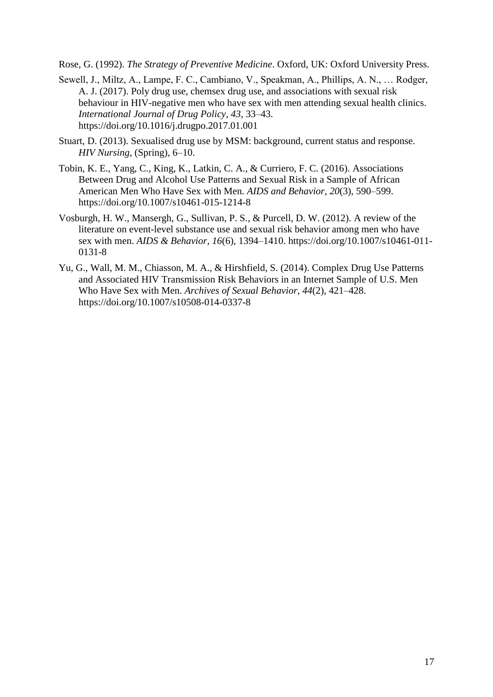Rose, G. (1992). *The Strategy of Preventive Medicine*. Oxford, UK: Oxford University Press.

- Sewell, J., Miltz, A., Lampe, F. C., Cambiano, V., Speakman, A., Phillips, A. N., … Rodger, A. J. (2017). Poly drug use, chemsex drug use, and associations with sexual risk behaviour in HIV-negative men who have sex with men attending sexual health clinics. *International Journal of Drug Policy*, *43*, 33–43. https://doi.org/10.1016/j.drugpo.2017.01.001
- Stuart, D. (2013). Sexualised drug use by MSM: background, current status and response. *HIV Nursing*, (Spring), 6–10.
- Tobin, K. E., Yang, C., King, K., Latkin, C. A., & Curriero, F. C. (2016). Associations Between Drug and Alcohol Use Patterns and Sexual Risk in a Sample of African American Men Who Have Sex with Men. *AIDS and Behavior*, *20*(3), 590–599. https://doi.org/10.1007/s10461-015-1214-8
- Vosburgh, H. W., Mansergh, G., Sullivan, P. S., & Purcell, D. W. (2012). A review of the literature on event-level substance use and sexual risk behavior among men who have sex with men. *AIDS & Behavior*, *16*(6), 1394–1410. https://doi.org/10.1007/s10461-011- 0131-8
- Yu, G., Wall, M. M., Chiasson, M. A., & Hirshfield, S. (2014). Complex Drug Use Patterns and Associated HIV Transmission Risk Behaviors in an Internet Sample of U.S. Men Who Have Sex with Men. *Archives of Sexual Behavior*, *44*(2), 421–428. https://doi.org/10.1007/s10508-014-0337-8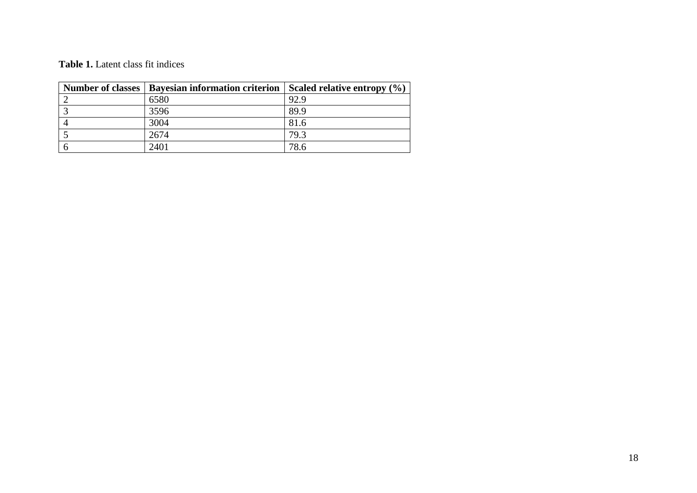# **Table 1.** Latent class fit indices

| Number of classes   Bayesian information criterion | Scaled relative entropy $(\% )$ |
|----------------------------------------------------|---------------------------------|
| 6580                                               | 92.9                            |
| 3596                                               | 89.9                            |
| 3004                                               | 81.6                            |
| 2674                                               | 79.3                            |
| 2401                                               | 78.6                            |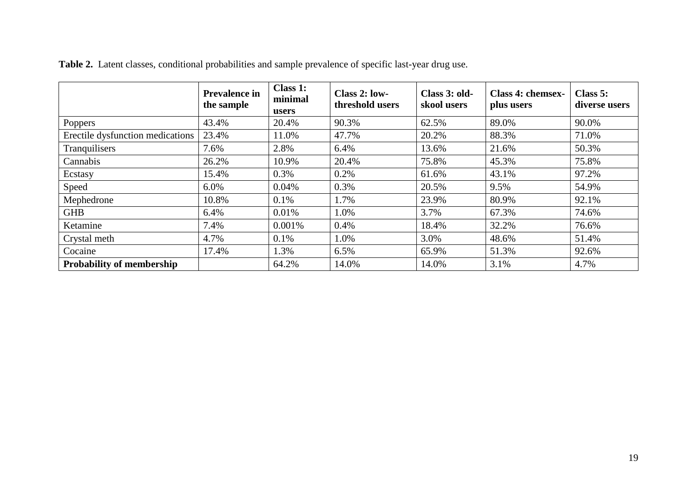|                                  | <b>Prevalence in</b><br>the sample | Class 1:<br>minimal<br>users | Class 2: low-<br>threshold users | Class 3: old-<br>skool users | Class 4: chemsex-<br>plus users | Class 5:<br>diverse users |
|----------------------------------|------------------------------------|------------------------------|----------------------------------|------------------------------|---------------------------------|---------------------------|
| Poppers                          | 43.4%                              | 20.4%                        | 90.3%                            | 62.5%                        | 89.0%                           | 90.0%                     |
| Erectile dysfunction medications | 23.4%                              | 11.0%                        | 47.7%                            | 20.2%                        | 88.3%                           | 71.0%                     |
| Tranquilisers                    | 7.6%                               | 2.8%                         | 6.4%                             | 13.6%                        | 21.6%                           | 50.3%                     |
| Cannabis                         | 26.2%                              | 10.9%                        | 20.4%                            | 75.8%                        | 45.3%                           | 75.8%                     |
| Ecstasy                          | 15.4%                              | 0.3%                         | 0.2%                             | 61.6%                        | 43.1%                           | 97.2%                     |
| Speed                            | $6.0\%$                            | 0.04%                        | 0.3%                             | 20.5%                        | 9.5%                            | 54.9%                     |
| Mephedrone                       | 10.8%                              | 0.1%                         | 1.7%                             | 23.9%                        | 80.9%                           | 92.1%                     |
| <b>GHB</b>                       | 6.4%                               | 0.01%                        | 1.0%                             | 3.7%                         | 67.3%                           | 74.6%                     |
| Ketamine                         | 7.4%                               | 0.001%                       | 0.4%                             | 18.4%                        | 32.2%                           | 76.6%                     |
| Crystal meth                     | 4.7%                               | 0.1%                         | 1.0%                             | 3.0%                         | 48.6%                           | 51.4%                     |
| Cocaine                          | 17.4%                              | 1.3%                         | 6.5%                             | 65.9%                        | 51.3%                           | 92.6%                     |
| <b>Probability of membership</b> |                                    | 64.2%                        | 14.0%                            | 14.0%                        | 3.1%                            | 4.7%                      |

**Table 2.** Latent classes, conditional probabilities and sample prevalence of specific last-year drug use.